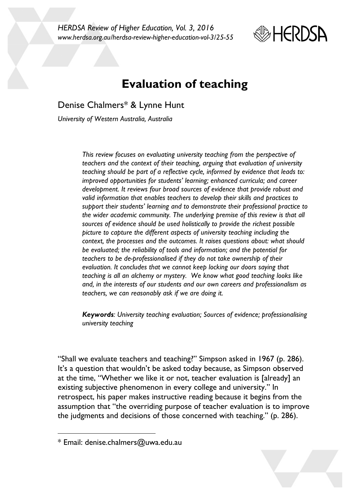*HERDSA Review of Higher Education, Vol. 3, 2016 www.herdsa.org.au/herdsa-review-higher-education-vol-3/25-55*



# **Evaluation of teaching**

Denise Chalmers\* & Lynne Hunt

*University of Western Australia, Australia*

*This review focuses on evaluating university teaching from the perspective of teachers and the context of their teaching, arguing that evaluation of university teaching should be part of a reflective cycle, informed by evidence that leads to: improved opportunities for students' learning; enhanced curricula; and career development. It reviews four broad sources of evidence that provide robust and valid information that enables teachers to develop their skills and practices to support their students' learning and to demonstrate their professional practice to the wider academic community. The underlying premise of this review is that all sources of evidence should be used holistically to provide the richest possible picture to capture the different aspects of university teaching including the context, the processes and the outcomes. It raises questions about: what should be evaluated; the reliability of tools and information; and the potential for teachers to be de-professionalised if they do not take ownership of their evaluation. It concludes that we cannot keep locking our doors saying that teaching is all an alchemy or mystery. We know what good teaching looks like and, in the interests of our students and our own careers and professionalism as teachers, we can reasonably ask if we are doing it.* 

*Keywords: University teaching evaluation; Sources of evidence; professionalising university teaching*

"Shall we evaluate teachers and teaching?" Simpson asked in 1967 (p. 286). It's a question that wouldn't be asked today because, as Simpson observed at the time, "Whether we like it or not, teacher evaluation is [already] an existing subjective phenomenon in every college and university." In retrospect, his paper makes instructive reading because it begins from the assumption that "the overriding purpose of teacher evaluation is to improve the judgments and decisions of those concerned with teaching." (p. 286).

l

<sup>\*</sup> Email: denise.chalmers@uwa.edu.au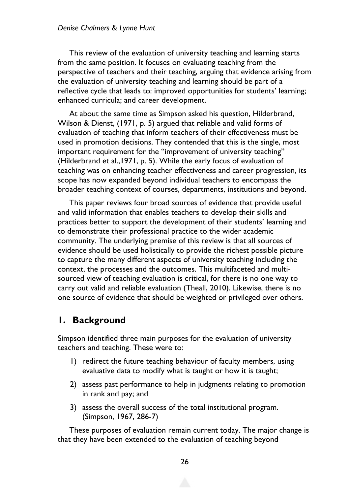#### *Denise Chalmers & Lynne Hunt*

This review of the evaluation of university teaching and learning starts from the same position. It focuses on evaluating teaching from the perspective of teachers and their teaching, arguing that evidence arising from the evaluation of university teaching and learning should be part of a reflective cycle that leads to: improved opportunities for students' learning; enhanced curricula; and career development.

At about the same time as Simpson asked his question, Hilderbrand, Wilson & Dienst, (1971, p. 5) argued that reliable and valid forms of evaluation of teaching that inform teachers of their effectiveness must be used in promotion decisions. They contended that this is the single, most important requirement for the "improvement of university teaching" (Hilderbrand et al.,1971, p. 5). While the early focus of evaluation of teaching was on enhancing teacher effectiveness and career progression, its scope has now expanded beyond individual teachers to encompass the broader teaching context of courses, departments, institutions and beyond.

This paper reviews four broad sources of evidence that provide useful and valid information that enables teachers to develop their skills and practices better to support the development of their students' learning and to demonstrate their professional practice to the wider academic community. The underlying premise of this review is that all sources of evidence should be used holistically to provide the richest possible picture to capture the many different aspects of university teaching including the context, the processes and the outcomes. This multifaceted and multisourced view of teaching evaluation is critical, for there is no one way to carry out valid and reliable evaluation (Theall, 2010). Likewise, there is no one source of evidence that should be weighted or privileged over others.

### **1. Background**

Simpson identified three main purposes for the evaluation of university teachers and teaching. These were to:

- 1) redirect the future teaching behaviour of faculty members, using evaluative data to modify what is taught or how it is taught;
- 2) assess past performance to help in judgments relating to promotion in rank and pay; and
- 3) assess the overall success of the total institutional program. (Simpson, 1967, 286-7)

These purposes of evaluation remain current today. The major change is that they have been extended to the evaluation of teaching beyond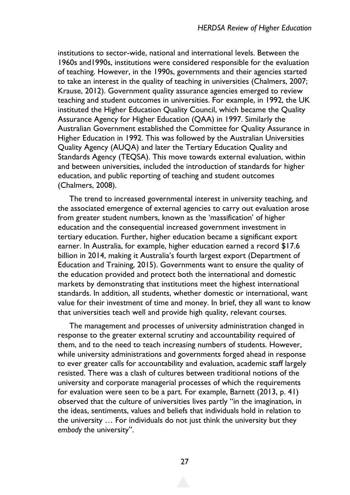institutions to sector-wide, national and international levels. Between the 1960s and1990s, institutions were considered responsible for the evaluation of teaching. However, in the 1990s, governments and their agencies started to take an interest in the quality of teaching in universities (Chalmers, 2007; Krause, 2012). Government quality assurance agencies emerged to review teaching and student outcomes in universities. For example, in 1992, the UK instituted the Higher Education Quality Council, which became the Quality Assurance Agency for Higher Education (QAA) in 1997. Similarly the Australian Government established the Committee for Quality Assurance in Higher Education in 1992. This was followed by the Australian Universities Quality Agency (AUQA) and later the Tertiary Education Quality and Standards Agency (TEQSA). This move towards external evaluation, within and between universities, included the introduction of standards for higher education, and public reporting of teaching and student outcomes (Chalmers, 2008).

The trend to increased governmental interest in university teaching, and the associated emergence of external agencies to carry out evaluation arose from greater student numbers, known as the 'massification' of higher education and the consequential increased government investment in tertiary education. Further, higher education became a significant export earner. In Australia, for example, higher education earned a record \$17.6 billion in 2014, making it Australia's fourth largest export (Department of Education and Training, 2015). Governments want to ensure the quality of the education provided and protect both the international and domestic markets by demonstrating that institutions meet the highest international standards. In addition, all students, whether domestic or international, want value for their investment of time and money. In brief, they all want to know that universities teach well and provide high quality, relevant courses.

The management and processes of university administration changed in response to the greater external scrutiny and accountability required of them, and to the need to teach increasing numbers of students. However, while university administrations and governments forged ahead in response to ever greater calls for accountability and evaluation, academic staff largely resisted. There was a clash of cultures between traditional notions of the university and corporate managerial processes of which the requirements for evaluation were seen to be a part. For example, Barnett (2013, p. 41) observed that the culture of universities lives partly "in the imagination, in the ideas, sentiments, values and beliefs that individuals hold in relation to the university … For individuals do not just think the university but they *embody* the university".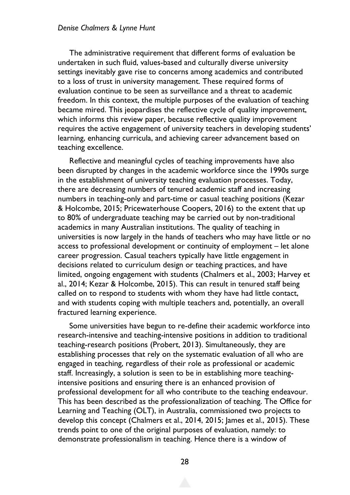#### *Denise Chalmers & Lynne Hunt*

The administrative requirement that different forms of evaluation be undertaken in such fluid, values-based and culturally diverse university settings inevitably gave rise to concerns among academics and contributed to a loss of trust in university management. These required forms of evaluation continue to be seen as surveillance and a threat to academic freedom. In this context, the multiple purposes of the evaluation of teaching became mired. This jeopardises the reflective cycle of quality improvement, which informs this review paper, because reflective quality improvement requires the active engagement of university teachers in developing students' learning, enhancing curricula, and achieving career advancement based on teaching excellence.

Reflective and meaningful cycles of teaching improvements have also been disrupted by changes in the academic workforce since the 1990s surge in the establishment of university teaching evaluation processes. Today, there are decreasing numbers of tenured academic staff and increasing numbers in teaching-only and part-time or casual teaching positions (Kezar & Holcombe, 2015; Pricewaterhouse Coopers, 2016) to the extent that up to 80% of undergraduate teaching may be carried out by non-traditional academics in many Australian institutions. The quality of teaching in universities is now largely in the hands of teachers who may have little or no access to professional development or continuity of employment – let alone career progression. Casual teachers typically have little engagement in decisions related to curriculum design or teaching practices, and have limited, ongoing engagement with students (Chalmers et al., 2003; Harvey et al., 2014; Kezar & Holcombe, 2015). This can result in tenured staff being called on to respond to students with whom they have had little contact, and with students coping with multiple teachers and, potentially, an overall fractured learning experience.

Some universities have begun to re-define their academic workforce into research-intensive and teaching-intensive positions in addition to traditional teaching-research positions (Probert, 2013). Simultaneously, they are establishing processes that rely on the systematic evaluation of all who are engaged in teaching, regardless of their role as professional or academic staff. Increasingly, a solution is seen to be in establishing more teachingintensive positions and ensuring there is an enhanced provision of professional development for all who contribute to the teaching endeavour. This has been described as the professionalization of teaching. The Office for Learning and Teaching (OLT), in Australia, commissioned two projects to develop this concept (Chalmers et al., 2014, 2015; James et al., 2015). These trends point to one of the original purposes of evaluation, namely: to demonstrate professionalism in teaching. Hence there is a window of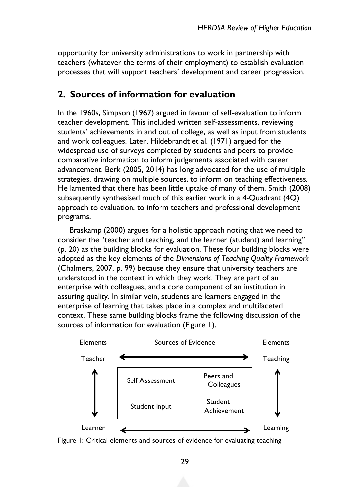opportunity for university administrations to work in partnership with teachers (whatever the terms of their employment) to establish evaluation processes that will support teachers' development and career progression.

### **2. Sources of information for evaluation**

In the 1960s, Simpson (1967) argued in favour of self-evaluation to inform teacher development. This included written self-assessments, reviewing students' achievements in and out of college, as well as input from students and work colleagues. Later, Hildebrandt et al. (1971) argued for the widespread use of surveys completed by students and peers to provide comparative information to inform judgements associated with career advancement. Berk (2005, 2014) has long advocated for the use of multiple strategies, drawing on multiple sources, to inform on teaching effectiveness. He lamented that there has been little uptake of many of them. Smith (2008) subsequently synthesised much of this earlier work in a 4-Quadrant (4Q) approach to evaluation, to inform teachers and professional development programs.

Braskamp (2000) argues for a holistic approach noting that we need to consider the "teacher and teaching, and the learner (student) and learning" (p. 20) as the building blocks for evaluation. These four building blocks were adopted as the key elements of the *Dimensions of Teaching Quality Framework* (Chalmers, 2007, p. 99) because they ensure that university teachers are understood in the context in which they work. They are part of an enterprise with colleagues, and a core component of an institution in assuring quality. In similar vein, students are learners engaged in the enterprise of learning that takes place in a complex and multifaceted context. These same building blocks frame the following discussion of the sources of information for evaluation (Figure 1).



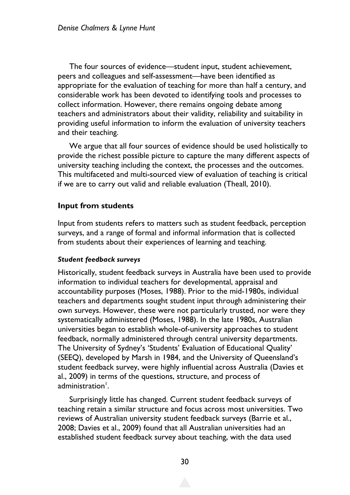The four sources of evidence—student input, student achievement, peers and colleagues and self-assessment—have been identified as appropriate for the evaluation of teaching for more than half a century, and considerable work has been devoted to identifying tools and processes to collect information. However, there remains ongoing debate among teachers and administrators about their validity, reliability and suitability in providing useful information to inform the evaluation of university teachers and their teaching.

We argue that all four sources of evidence should be used holistically to provide the richest possible picture to capture the many different aspects of university teaching including the context, the processes and the outcomes. This multifaceted and multi-sourced view of evaluation of teaching is critical if we are to carry out valid and reliable evaluation (Theall, 2010).

#### **Input from students**

Input from students refers to matters such as student feedback, perception surveys, and a range of formal and informal information that is collected from students about their experiences of learning and teaching.

#### *Student feedback surveys*

Historically, student feedback surveys in Australia have been used to provide information to individual teachers for developmental, appraisal and accountability purposes (Moses, 1988). Prior to the mid-1980s, individual teachers and departments sought student input through administering their own surveys. However, these were not particularly trusted, nor were they systematically administered (Moses, 1988). In the late 1980s, Australian universities began to establish whole-of-university approaches to student feedback, normally administered through central university departments. The University of Sydney's 'Students' Evaluation of Educational Quality' (SEEQ), developed by Marsh in 1984, and the University of Queensland's student feedback survey, were highly influential across Australia (Davies et al., 2009) in terms of the questions, structure, and process of administration<sup>1</sup>.

Surprisingly little has changed. Current student feedback surveys of teaching retain a similar structure and focus across most universities. Two reviews of Australian university student feedback surveys (Barrie et al., 2008; Davies et al., 2009) found that all Australian universities had an established student feedback survey about teaching, with the data used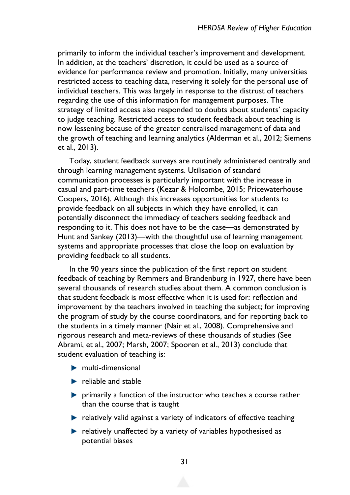primarily to inform the individual teacher's improvement and development. In addition, at the teachers' discretion, it could be used as a source of evidence for performance review and promotion. Initially, many universities restricted access to teaching data, reserving it solely for the personal use of individual teachers. This was largely in response to the distrust of teachers regarding the use of this information for management purposes. The strategy of limited access also responded to doubts about students' capacity to judge teaching. Restricted access to student feedback about teaching is now lessening because of the greater centralised management of data and the growth of teaching and learning analytics (Alderman et al., 2012; Siemens et al., 2013).

Today, student feedback surveys are routinely administered centrally and through learning management systems. Utilisation of standard communication processes is particularly important with the increase in casual and part-time teachers (Kezar & Holcombe, 2015; Pricewaterhouse Coopers, 2016). Although this increases opportunities for students to provide feedback on all subjects in which they have enrolled, it can potentially disconnect the immediacy of teachers seeking feedback and responding to it. This does not have to be the case—as demonstrated by Hunt and Sankey (2013)—with the thoughtful use of learning management systems and appropriate processes that close the loop on evaluation by providing feedback to all students.

In the 90 years since the publication of the first report on student feedback of teaching by Remmers and Brandenburg in 1927, there have been several thousands of research studies about them. A common conclusion is that student feedback is most effective when it is used for: reflection and improvement by the teachers involved in teaching the subject; for improving the program of study by the course coordinators, and for reporting back to the students in a timely manner (Nair et al., 2008). Comprehensive and rigorous research and meta-reviews of these thousands of studies (See Abrami, et al., 2007; Marsh, 2007; Spooren et al., 2013) conclude that student evaluation of teaching is:

- $\blacktriangleright$  multi-dimensional
- $\blacktriangleright$  reliable and stable
- **P** primarily a function of the instructor who teaches a course rather than the course that is taught
- $\blacktriangleright$  relatively valid against a variety of indicators of effective teaching
- $\blacktriangleright$  relatively unaffected by a variety of variables hypothesised as potential biases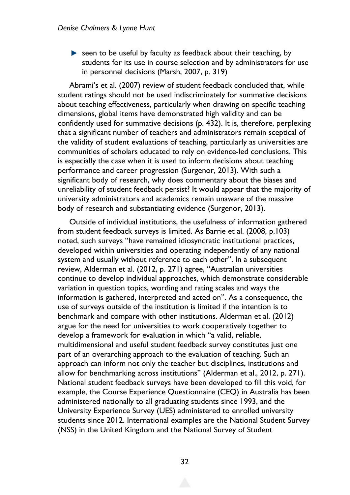$\blacktriangleright$  seen to be useful by faculty as feedback about their teaching, by students for its use in course selection and by administrators for use in personnel decisions (Marsh, 2007, p. 319)

Abrami's et al. (2007) review of student feedback concluded that, while student ratings should not be used indiscriminately for summative decisions about teaching effectiveness, particularly when drawing on specific teaching dimensions, global items have demonstrated high validity and can be confidently used for summative decisions (p. 432). It is, therefore, perplexing that a significant number of teachers and administrators remain sceptical of the validity of student evaluations of teaching, particularly as universities are communities of scholars educated to rely on evidence-led conclusions. This is especially the case when it is used to inform decisions about teaching performance and career progression (Surgenor, 2013). With such a significant body of research, why does commentary about the biases and unreliability of student feedback persist? It would appear that the majority of university administrators and academics remain unaware of the massive body of research and substantiating evidence (Surgenor, 2013).

Outside of individual institutions, the usefulness of information gathered from student feedback surveys is limited. As Barrie et al. (2008, p.103) noted, such surveys "have remained idiosyncratic institutional practices, developed within universities and operating independently of any national system and usually without reference to each other". In a subsequent review, Alderman et al. (2012, p. 271) agree, "Australian universities continue to develop individual approaches, which demonstrate considerable variation in question topics, wording and rating scales and ways the information is gathered, interpreted and acted on". As a consequence, the use of surveys outside of the institution is limited if the intention is to benchmark and compare with other institutions. Alderman et al. (2012) argue for the need for universities to work cooperatively together to develop a framework for evaluation in which "a valid, reliable, multidimensional and useful student feedback survey constitutes just one part of an overarching approach to the evaluation of teaching. Such an approach can inform not only the teacher but disciplines, institutions and allow for benchmarking across institutions" (Alderman et al., 2012, p. 271). National student feedback surveys have been developed to fill this void, for example, the Course Experience Questionnaire (CEQ) in Australia has been administered nationally to all graduating students since 1993, and the University Experience Survey (UES) administered to enrolled university students since 2012. International examples are the National Student Survey (NSS) in the United Kingdom and the National Survey of Student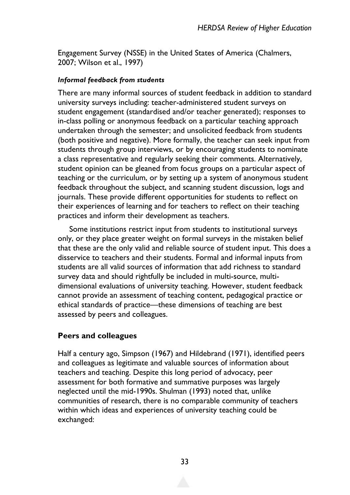Engagement Survey (NSSE) in the United States of America (Chalmers, 2007; Wilson et al., 1997)

#### *Informal feedback from students*

There are many informal sources of student feedback in addition to standard university surveys including: teacher-administered student surveys on student engagement (standardised and/or teacher generated); responses to in-class polling or anonymous feedback on a particular teaching approach undertaken through the semester; and unsolicited feedback from students (both positive and negative). More formally, the teacher can seek input from students through group interviews, or by encouraging students to nominate a class representative and regularly seeking their comments. Alternatively, student opinion can be gleaned from focus groups on a particular aspect of teaching or the curriculum, or by setting up a system of anonymous student feedback throughout the subject, and scanning student discussion, logs and journals. These provide different opportunities for students to reflect on their experiences of learning and for teachers to reflect on their teaching practices and inform their development as teachers.

Some institutions restrict input from students to institutional surveys only, or they place greater weight on formal surveys in the mistaken belief that these are the only valid and reliable source of student input. This does a disservice to teachers and their students. Formal and informal inputs from students are all valid sources of information that add richness to standard survey data and should rightfully be included in multi-source, multidimensional evaluations of university teaching. However, student feedback cannot provide an assessment of teaching content, pedagogical practice or ethical standards of practice—these dimensions of teaching are best assessed by peers and colleagues.

### **Peers and colleagues**

Half a century ago, Simpson (1967) and Hildebrand (1971), identified peers and colleagues as legitimate and valuable sources of information about teachers and teaching. Despite this long period of advocacy, peer assessment for both formative and summative purposes was largely neglected until the mid-1990s. Shulman (1993) noted that, unlike communities of research, there is no comparable community of teachers within which ideas and experiences of university teaching could be exchanged: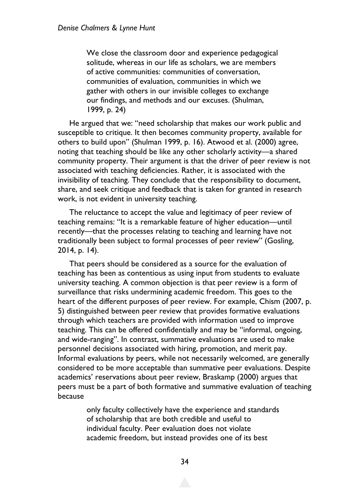We close the classroom door and experience pedagogical solitude, whereas in our life as scholars, we are members of active communities: communities of conversation, communities of evaluation, communities in which we gather with others in our invisible colleges to exchange our findings, and methods and our excuses. (Shulman, 1999, p. 24)

He argued that we: "need scholarship that makes our work public and susceptible to critique. It then becomes community property, available for others to build upon" (Shulman 1999, p. 16). Atwood et al. (2000) agree, noting that teaching should be like any other scholarly activity—a shared community property. Their argument is that the driver of peer review is not associated with teaching deficiencies. Rather, it is associated with the invisibility of teaching. They conclude that the responsibility to document, share, and seek critique and feedback that is taken for granted in research work, is not evident in university teaching.

The reluctance to accept the value and legitimacy of peer review of teaching remains: "It is a remarkable feature of higher education—until recently—that the processes relating to teaching and learning have not traditionally been subject to formal processes of peer review" (Gosling, 2014, p. 14).

That peers should be considered as a source for the evaluation of teaching has been as contentious as using input from students to evaluate university teaching. A common objection is that peer review is a form of surveillance that risks undermining academic freedom. This goes to the heart of the different purposes of peer review. For example, Chism (2007, p. 5) distinguished between peer review that provides formative evaluations through which teachers are provided with information used to improve teaching. This can be offered confidentially and may be "informal, ongoing, and wide-ranging". In contrast, summative evaluations are used to make personnel decisions associated with hiring, promotion, and merit pay. Informal evaluations by peers, while not necessarily welcomed, are generally considered to be more acceptable than summative peer evaluations. Despite academics' reservations about peer review, Braskamp (2000) argues that peers must be a part of both formative and summative evaluation of teaching because

> only faculty collectively have the experience and standards of scholarship that are both credible and useful to individual faculty. Peer evaluation does not violate academic freedom, but instead provides one of its best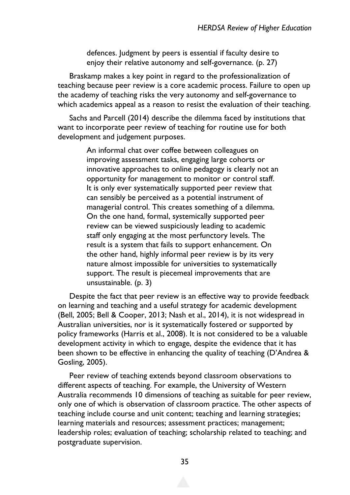defences. Judgment by peers is essential if faculty desire to enjoy their relative autonomy and self-governance. (p. 27)

Braskamp makes a key point in regard to the professionalization of teaching because peer review is a core academic process. Failure to open up the academy of teaching risks the very autonomy and self-governance to which academics appeal as a reason to resist the evaluation of their teaching.

Sachs and Parcell (2014) describe the dilemma faced by institutions that want to incorporate peer review of teaching for routine use for both development and judgement purposes.

> An informal chat over coffee between colleagues on improving assessment tasks, engaging large cohorts or innovative approaches to online pedagogy is clearly not an opportunity for management to monitor or control staff. It is only ever systematically supported peer review that can sensibly be perceived as a potential instrument of managerial control. This creates something of a dilemma. On the one hand, formal, systemically supported peer review can be viewed suspiciously leading to academic staff only engaging at the most perfunctory levels. The result is a system that fails to support enhancement. On the other hand, highly informal peer review is by its very nature almost impossible for universities to systematically support. The result is piecemeal improvements that are unsustainable. (p. 3)

Despite the fact that peer review is an effective way to provide feedback on learning and teaching and a useful strategy for academic development (Bell, 2005; Bell & Cooper, 2013; Nash et al., 2014), it is not widespread in Australian universities, nor is it systematically fostered or supported by policy frameworks (Harris et al., 2008). It is not considered to be a valuable development activity in which to engage, despite the evidence that it has been shown to be effective in enhancing the quality of teaching (D'Andrea & Gosling, 2005).

Peer review of teaching extends beyond classroom observations to different aspects of teaching. For example, the University of Western Australia recommends 10 dimensions of teaching as suitable for peer review, only one of which is observation of classroom practice. The other aspects of teaching include course and unit content; teaching and learning strategies; learning materials and resources; assessment practices; management; leadership roles; evaluation of teaching; scholarship related to teaching; and postgraduate supervision.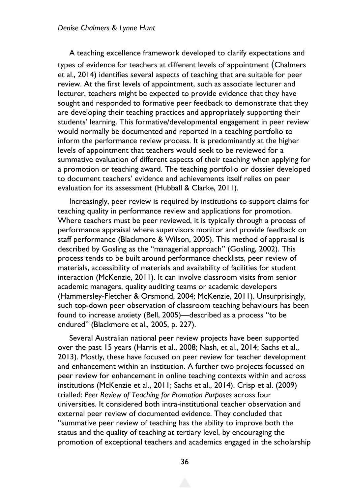#### *Denise Chalmers & Lynne Hunt*

A teaching excellence framework developed to clarify expectations and types of evidence for teachers at different levels of appointment (Chalmers et al., 2014) identifies several aspects of teaching that are suitable for peer review. At the first levels of appointment, such as associate lecturer and lecturer, teachers might be expected to provide evidence that they have sought and responded to formative peer feedback to demonstrate that they are developing their teaching practices and appropriately supporting their students' learning. This formative/developmental engagement in peer review would normally be documented and reported in a teaching portfolio to inform the performance review process. It is predominantly at the higher levels of appointment that teachers would seek to be reviewed for a summative evaluation of different aspects of their teaching when applying for a promotion or teaching award. The teaching portfolio or dossier developed to document teachers' evidence and achievements itself relies on peer evaluation for its assessment (Hubball & Clarke, 2011).

Increasingly, peer review is required by institutions to support claims for teaching quality in performance review and applications for promotion. Where teachers must be peer reviewed, it is typically through a process of performance appraisal where supervisors monitor and provide feedback on staff performance (Blackmore & Wilson, 2005). This method of appraisal is described by Gosling as the "managerial approach" (Gosling, 2002). This process tends to be built around performance checklists, peer review of materials, accessibility of materials and availability of facilities for student interaction (McKenzie, 2011). It can involve classroom visits from senior academic managers, quality auditing teams or academic developers (Hammersley-Fletcher & Orsmond, 2004; McKenzie, 2011). Unsurprisingly, such top-down peer observation of classroom teaching behaviours has been found to increase anxiety (Bell, 2005)—described as a process "to be endured" (Blackmore et al., 2005, p. 227).

Several Australian national peer review projects have been supported over the past 15 years (Harris et al., 2008; Nash, et al., 2014; Sachs et al., 2013). Mostly, these have focused on peer review for teacher development and enhancement within an institution. A further two projects focussed on peer review for enhancement in online teaching contexts within and across institutions (McKenzie et al., 2011; Sachs et al., 2014). Crisp et al. (2009) trialled: *Peer Review of Teaching for Promotion Purposes* across four universities. It considered both intra-institutional teacher observation and external peer review of documented evidence. They concluded that "summative peer review of teaching has the ability to improve both the status and the quality of teaching at tertiary level, by encouraging the promotion of exceptional teachers and academics engaged in the scholarship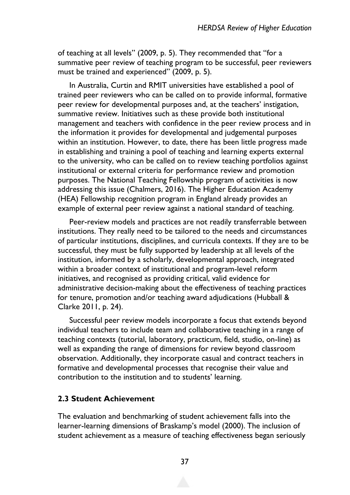of teaching at all levels" (2009, p. 5). They recommended that "for a summative peer review of teaching program to be successful, peer reviewers must be trained and experienced" (2009, p. 5).

In Australia, Curtin and RMIT universities have established a pool of trained peer reviewers who can be called on to provide informal, formative peer review for developmental purposes and, at the teachers' instigation, summative review. Initiatives such as these provide both institutional management and teachers with confidence in the peer review process and in the information it provides for developmental and judgemental purposes within an institution. However, to date, there has been little progress made in establishing and training a pool of teaching and learning experts external to the university, who can be called on to review teaching portfolios against institutional or external criteria for performance review and promotion purposes. The National Teaching Fellowship program of activities is now addressing this issue (Chalmers, 2016). The Higher Education Academy (HEA) Fellowship recognition program in England already provides an example of external peer review against a national standard of teaching.

Peer-review models and practices are not readily transferrable between institutions. They really need to be tailored to the needs and circumstances of particular institutions, disciplines, and curricula contexts. If they are to be successful, they must be fully supported by leadership at all levels of the institution, informed by a scholarly, developmental approach, integrated within a broader context of institutional and program-level reform initiatives, and recognised as providing critical, valid evidence for administrative decision-making about the effectiveness of teaching practices for tenure, promotion and/or teaching award adjudications (Hubball & Clarke 2011, p. 24).

Successful peer review models incorporate a focus that extends beyond individual teachers to include team and collaborative teaching in a range of teaching contexts (tutorial, laboratory, practicum, field, studio, on-line) as well as expanding the range of dimensions for review beyond classroom observation. Additionally, they incorporate casual and contract teachers in formative and developmental processes that recognise their value and contribution to the institution and to students' learning.

#### **2.3 Student Achievement**

The evaluation and benchmarking of student achievement falls into the learner-learning dimensions of Braskamp's model (2000). The inclusion of student achievement as a measure of teaching effectiveness began seriously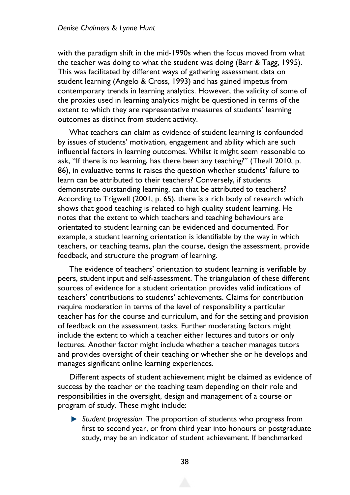with the paradigm shift in the mid-1990s when the focus moved from what the teacher was doing to what the student was doing (Barr & Tagg, 1995). This was facilitated by different ways of gathering assessment data on student learning (Angelo & Cross, 1993) and has gained impetus from contemporary trends in learning analytics. However, the validity of some of the proxies used in learning analytics might be questioned in terms of the extent to which they are representative measures of students' learning outcomes as distinct from student activity.

What teachers can claim as evidence of student learning is confounded by issues of students' motivation, engagement and ability which are such influential factors in learning outcomes. Whilst it might seem reasonable to ask, "If there is no learning, has there been any teaching?" (Theall 2010, p. 86), in evaluative terms it raises the question whether students' failure to learn can be attributed to their teachers? Conversely, if students demonstrate outstanding learning, can that be attributed to teachers? According to Trigwell (2001, p. 65), there is a rich body of research which shows that good teaching is related to high quality student learning. He notes that the extent to which teachers and teaching behaviours are orientated to student learning can be evidenced and documented. For example, a student learning orientation is identifiable by the way in which teachers, or teaching teams, plan the course, design the assessment, provide feedback, and structure the program of learning.

The evidence of teachers' orientation to student learning is verifiable by peers, student input and self-assessment. The triangulation of these different sources of evidence for a student orientation provides valid indications of teachers' contributions to students' achievements. Claims for contribution require moderation in terms of the level of responsibility a particular teacher has for the course and curriculum, and for the setting and provision of feedback on the assessment tasks. Further moderating factors might include the extent to which a teacher either lectures and tutors or only lectures. Another factor might include whether a teacher manages tutors and provides oversight of their teaching or whether she or he develops and manages significant online learning experiences.

Different aspects of student achievement might be claimed as evidence of success by the teacher or the teaching team depending on their role and responsibilities in the oversight, design and management of a course or program of study. These might include:

*Student progression*. The proportion of students who progress from first to second year, or from third year into honours or postgraduate study, may be an indicator of student achievement. If benchmarked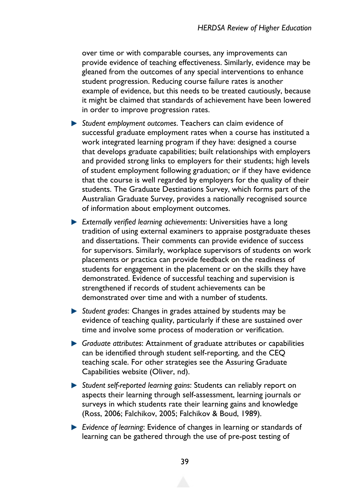over time or with comparable courses, any improvements can provide evidence of teaching effectiveness. Similarly, evidence may be gleaned from the outcomes of any special interventions to enhance student progression. Reducing course failure rates is another example of evidence, but this needs to be treated cautiously, because it might be claimed that standards of achievement have been lowered in order to improve progression rates.

- *Student employment outcomes*. Teachers can claim evidence of successful graduate employment rates when a course has instituted a work integrated learning program if they have: designed a course that develops graduate capabilities; built relationships with employers and provided strong links to employers for their students; high levels of student employment following graduation; or if they have evidence that the course is well regarded by employers for the quality of their students. The Graduate Destinations Survey, which forms part of the Australian Graduate Survey, provides a nationally recognised source of information about employment outcomes.
- *Externally verified learning achievements*: Universities have a long tradition of using external examiners to appraise postgraduate theses and dissertations. Their comments can provide evidence of success for supervisors. Similarly, workplace supervisors of students on work placements or practica can provide feedback on the readiness of students for engagement in the placement or on the skills they have demonstrated. Evidence of successful teaching and supervision is strengthened if records of student achievements can be demonstrated over time and with a number of students.
- *Student grades*: Changes in grades attained by students may be evidence of teaching quality, particularly if these are sustained over time and involve some process of moderation or verification.
- *Graduate attributes*: Attainment of graduate attributes or capabilities can be identified through student self-reporting, and the CEQ teaching scale. For other strategies see the Assuring Graduate Capabilities website (Oliver, nd).
- *Student self-reported learning gains*: Students can reliably report on aspects their learning through self-assessment, learning journals or surveys in which students rate their learning gains and knowledge (Ross, 2006; Falchikov, 2005; Falchikov & Boud, 1989).
- *Evidence of learning*: Evidence of changes in learning or standards of learning can be gathered through the use of pre-post testing of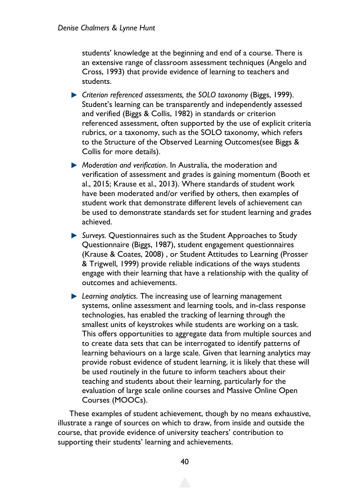students' knowledge at the beginning and end of a course. There is an extensive range of classroom assessment techniques (Angelo and Cross, 1993) that provide evidence of learning to teachers and students.

- **•** Criterion referenced assessments, the SOLO taxonomy (Biggs, 1999). Student's learning can be transparently and independently assessed and verified (Biggs & Collis, 1982) in standards or criterion referenced assessment, often supported by the use of explicit criteria rubrics, or a taxonomy, such as the SOLO taxonomy, which refers to the Structure of the Observed Learning Outcomes(see Biggs & Collis for more details).
- *Moderation and verification*. In Australia, the moderation and verification of assessment and grades is gaining momentum (Booth et al., 2015; Krause et al., 2013). Where standards of student work have been moderated and/or verified by others, then examples of student work that demonstrate different levels of achievement can be used to demonstrate standards set for student learning and grades achieved.
- *Surveys.* Questionnaires such as the Student Approaches to Study Questionnaire (Biggs, 1987), student engagement questionnaires (Krause & Coates, 2008) , or Student Attitudes to Learning (Prosser & Trigwell, 1999) provide reliable indications of the ways students engage with their learning that have a relationship with the quality of outcomes and achievements.
- *Learning analytics*. The increasing use of learning management systems, online assessment and learning tools, and in-class response technologies, has enabled the tracking of learning through the smallest units of keystrokes while students are working on a task. This offers opportunities to aggregate data from multiple sources and to create data sets that can be interrogated to identify patterns of learning behaviours on a large scale. Given that learning analytics may provide robust evidence of student learning, it is likely that these will be used routinely in the future to inform teachers about their teaching and students about their learning, particularly for the evaluation of large scale online courses and Massive Online Open Courses (MOOCs).

These examples of student achievement, though by no means exhaustive, illustrate a range of sources on which to draw, from inside and outside the course, that provide evidence of university teachers' contribution to supporting their students' learning and achievements.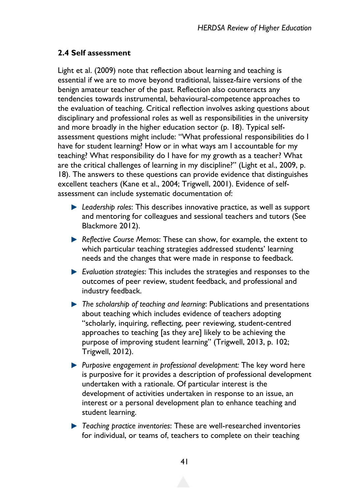### **2.4 Self assessment**

Light et al. (2009) note that reflection about learning and teaching is essential if we are to move beyond traditional, laissez-faire versions of the benign amateur teacher of the past. Reflection also counteracts any tendencies towards instrumental, behavioural-competence approaches to the evaluation of teaching. Critical reflection involves asking questions about disciplinary and professional roles as well as responsibilities in the university and more broadly in the higher education sector (p. 18). Typical selfassessment questions might include: "What professional responsibilities do I have for student learning? How or in what ways am I accountable for my teaching? What responsibility do I have for my growth as a teacher? What are the critical challenges of learning in my discipline?" (Light et al., 2009, p. 18). The answers to these questions can provide evidence that distinguishes excellent teachers (Kane et al., 2004; Trigwell, 2001). Evidence of selfassessment can include systematic documentation of:

- *Leadership roles*: This describes innovative practice, as well as support and mentoring for colleagues and sessional teachers and tutors (See Blackmore 2012).
- *Reflective Course Memos*: These can show, for example, the extent to which particular teaching strategies addressed students' learning needs and the changes that were made in response to feedback.
- *Evaluation strategies*: This includes the strategies and responses to the outcomes of peer review, student feedback, and professional and industry feedback.
- *The scholarship of teaching and learning*: Publications and presentations about teaching which includes evidence of teachers adopting "scholarly, inquiring, reflecting, peer reviewing, student-centred approaches to teaching [as they are] likely to be achieving the purpose of improving student learning" (Trigwell, 2013, p. 102; Trigwell, 2012).
- **Purposive engagement in professional development: The key word here** is purposive for it provides a description of professional development undertaken with a rationale. Of particular interest is the development of activities undertaken in response to an issue, an interest or a personal development plan to enhance teaching and student learning.
- *Teaching practice inventories*: These are well-researched inventories for individual, or teams of, teachers to complete on their teaching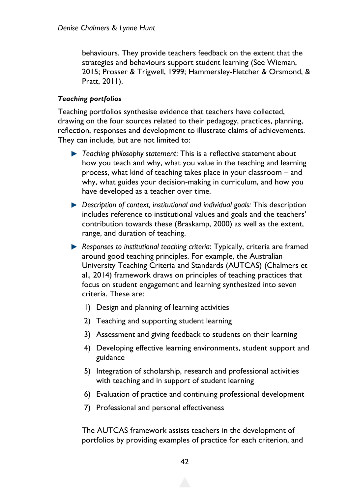behaviours. They provide teachers feedback on the extent that the strategies and behaviours support student learning (See Wieman, 2015; Prosser & Trigwell, 1999; Hammersley-Fletcher & Orsmond, & Pratt, 2011).

#### *Teaching portfolios*

Teaching portfolios synthesise evidence that teachers have collected, drawing on the four sources related to their pedagogy, practices, planning, reflection, responses and development to illustrate claims of achievements. They can include, but are not limited to:

- *Teaching philosophy statement*: This is a reflective statement about how you teach and why, what you value in the teaching and learning process, what kind of teaching takes place in your classroom – and why, what guides your decision-making in curriculum, and how you have developed as a teacher over time.
- *Description of context, institutional and individual goals: This description* includes reference to institutional values and goals and the teachers' contribution towards these (Braskamp, 2000) as well as the extent, range, and duration of teaching.
- **A Responses to institutional teaching criteria: Typically, criteria are framed** around good teaching principles. For example, the Australian University Teaching Criteria and Standards (AUTCAS) (Chalmers et al., 2014) framework draws on principles of teaching practices that focus on student engagement and learning synthesized into seven criteria. These are:
	- 1) Design and planning of learning activities
	- 2) Teaching and supporting student learning
	- 3) Assessment and giving feedback to students on their learning
	- 4) Developing effective learning environments, student support and guidance
	- 5) Integration of scholarship, research and professional activities with teaching and in support of student learning
	- 6) Evaluation of practice and continuing professional development
	- 7) Professional and personal effectiveness

The AUTCAS framework assists teachers in the development of portfolios by providing examples of practice for each criterion, and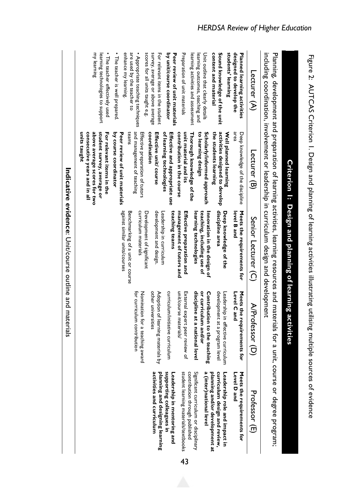|                                                                                                            |                                                                                                                                                                                               | Criterion I: Design and planning of learning activities                            |                                                                                                    |                                                                                                  |
|------------------------------------------------------------------------------------------------------------|-----------------------------------------------------------------------------------------------------------------------------------------------------------------------------------------------|------------------------------------------------------------------------------------|----------------------------------------------------------------------------------------------------|--------------------------------------------------------------------------------------------------|
|                                                                                                            | including coordination of example in contruction of leaders of leasign and development<br>Planing, development and preparation of learning activities, learning resources and materials for a |                                                                                    |                                                                                                    | unit, course or degree program;                                                                  |
| Lecturer $(A)$                                                                                             | Lecturer (B)                                                                                                                                                                                  | Senior Lecturer (C)                                                                | A/Professor (L                                                                                     | Professor (E)                                                                                    |
| designed to develop the<br>Planned learning activities                                                     | area<br>Deep knowledge of the discipline                                                                                                                                                      | Meets the requirements for<br>level B and                                          | Meets the requirements for<br>Level C and                                                          | Meets the requirements for<br>Level D and                                                        |
| students' learning<br>Sound knowledge of the unit<br>content and material                                  | activities designed to develop<br>the students learning<br>Well planned learning                                                                                                              | discipline area<br>Deep knowledge of the                                           | development at a program<br>Leadership in effective curriculum<br>level                            | planning and/or development at<br>curriculum design and review,<br>Leadership role and impact in |
| Unit outline that clearly details<br>learning activities and assessment<br>learning outcomes, teaching and | Scholarly/informed approach<br>to learning design<br>Thorough knowledge of the                                                                                                                | Innovation in the design of<br>teaching, including use of<br>learning technologies | discipline at a national level<br>or curriculum and/or<br>Contribution to the tea<br><b>uching</b> | Significant curriculum or disciplinary<br>a (inter)national level                                |
| Preparation of unit materials                                                                              | unit material and its<br>contribution in the course                                                                                                                                           | management of tutors and<br>Effective preparation and                              | unit/course materials/<br>External expert peer review of                                           | student learning materials/textbooks<br>contribution through published                           |
| by unit/course coordinator<br>Peer review of unit materials                                                | of learning technologies<br>Effective and appropriate use                                                                                                                                     | teaching teams<br>Leadership in curriculum                                         | curriculum/initiative curriculum                                                                   | supporting colleagues in<br>Leadership in mentoring and                                          |
| scores for all units taught e.g.<br>survey, average or above average<br>For relevant items in the student  | coordination<br>Effective unit/ course                                                                                                                                                        | Development of significant<br>development and design.                              | other universities<br>Adoption of learning materials by                                            | planning and designing learning<br>activities and curriculum                                     |
| are used by the teacher to<br>• Appropriate teaching techniques                                            | and management of teaching<br>teams<br>Effective preparation of tutors                                                                                                                        | Benchmarking of a unit or course<br>curriculum materials                           | Nomination for a teaching<br>for curriculum contribution<br>pueme                                  |                                                                                                  |
| • The teacher is well prepared.<br>enhance my learning.                                                    | by course coordinator<br>Peer review of unit materials                                                                                                                                        | against similar units/courses                                                      |                                                                                                    |                                                                                                  |
| • The teacher effectively used<br>my learning<br>learning technologies to support                          | units taught<br>consecutive years and in all<br>above average scores for two<br>student survey, average or<br>For relevant items in the                                                       |                                                                                    |                                                                                                    |                                                                                                  |
|                                                                                                            |                                                                                                                                                                                               |                                                                                    |                                                                                                    |                                                                                                  |

43

Indicative evidence: Unit/course outline and materials **Indicative evidence**: Unit/course outline and materials

Figure 2: AUTCAS Criterion 1. Design and planning of learning activities illustrating utilising multiple sources of evidence

Figure 2: AUTCAS Criterion I. Design and planning of learning activities illustrating utilising multiple sources of evidence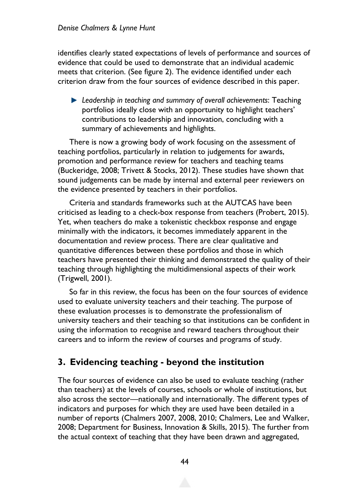identifies clearly stated expectations of levels of performance and sources of evidence that could be used to demonstrate that an individual academic meets that criterion. (See figure 2). The evidence identified under each criterion draw from the four sources of evidence described in this paper.

*Leadership in teaching and summary of overall achievements*: Teaching portfolios ideally close with an opportunity to highlight teachers' contributions to leadership and innovation, concluding with a summary of achievements and highlights.

There is now a growing body of work focusing on the assessment of teaching portfolios, particularly in relation to judgements for awards, promotion and performance review for teachers and teaching teams (Buckeridge, 2008; Trivett & Stocks, 2012). These studies have shown that sound judgements can be made by internal and external peer reviewers on the evidence presented by teachers in their portfolios.

Criteria and standards frameworks such at the AUTCAS have been criticised as leading to a check-box response from teachers (Probert, 2015). Yet, when teachers do make a tokenistic checkbox response and engage minimally with the indicators, it becomes immediately apparent in the documentation and review process. There are clear qualitative and quantitative differences between these portfolios and those in which teachers have presented their thinking and demonstrated the quality of their teaching through highlighting the multidimensional aspects of their work (Trigwell, 2001).

So far in this review, the focus has been on the four sources of evidence used to evaluate university teachers and their teaching. The purpose of these evaluation processes is to demonstrate the professionalism of university teachers and their teaching so that institutions can be confident in using the information to recognise and reward teachers throughout their careers and to inform the review of courses and programs of study.

## **3. Evidencing teaching - beyond the institution**

The four sources of evidence can also be used to evaluate teaching (rather than teachers) at the levels of courses, schools or whole of institutions, but also across the sector—nationally and internationally. The different types of indicators and purposes for which they are used have been detailed in a number of reports (Chalmers 2007, 2008, 2010; Chalmers, Lee and Walker, 2008; Department for Business, Innovation & Skills, 2015). The further from the actual context of teaching that they have been drawn and aggregated,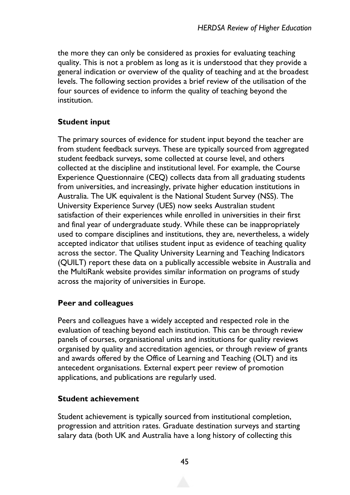the more they can only be considered as proxies for evaluating teaching quality. This is not a problem as long as it is understood that they provide a general indication or overview of the quality of teaching and at the broadest levels. The following section provides a brief review of the utilisation of the four sources of evidence to inform the quality of teaching beyond the institution.

#### **Student input**

The primary sources of evidence for student input beyond the teacher are from student feedback surveys. These are typically sourced from aggregated student feedback surveys, some collected at course level, and others collected at the discipline and institutional level. For example, the Course Experience Questionnaire (CEQ) collects data from all graduating students from universities, and increasingly, private higher education institutions in Australia. The UK equivalent is the National Student Survey (NSS). The University Experience Survey (UES) now seeks Australian student satisfaction of their experiences while enrolled in universities in their first and final year of undergraduate study. While these can be inappropriately used to compare disciplines and institutions, they are, nevertheless, a widely accepted indicator that utilises student input as evidence of teaching quality across the sector. The Quality University Learning and Teaching Indicators (QUILT) report these data on a publically accessible website in Australia and the MultiRank website provides similar information on programs of study across the majority of universities in Europe.

#### **Peer and colleagues**

Peers and colleagues have a widely accepted and respected role in the evaluation of teaching beyond each institution. This can be through review panels of courses, organisational units and institutions for quality reviews organised by quality and accreditation agencies, or through review of grants and awards offered by the Office of Learning and Teaching (OLT) and its antecedent organisations. External expert peer review of promotion applications, and publications are regularly used.

#### **Student achievement**

Student achievement is typically sourced from institutional completion, progression and attrition rates. Graduate destination surveys and starting salary data (both UK and Australia have a long history of collecting this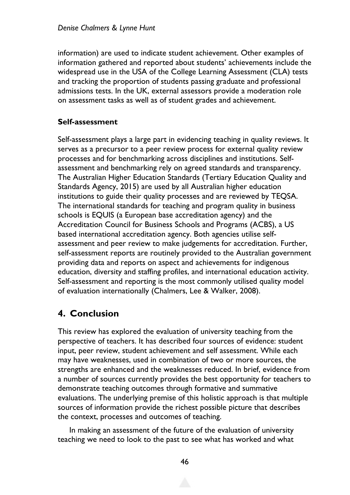information) are used to indicate student achievement. Other examples of information gathered and reported about students' achievements include the widespread use in the USA of the College Learning Assessment (CLA) tests and tracking the proportion of students passing graduate and professional admissions tests. In the UK, external assessors provide a moderation role on assessment tasks as well as of student grades and achievement.

### **Self-assessment**

Self-assessment plays a large part in evidencing teaching in quality reviews. It serves as a precursor to a peer review process for external quality review processes and for benchmarking across disciplines and institutions. Selfassessment and benchmarking rely on agreed standards and transparency. The Australian Higher Education Standards (Tertiary Education Quality and Standards Agency, 2015) are used by all Australian higher education institutions to guide their quality processes and are reviewed by TEQSA. The international standards for teaching and program quality in business schools is EQUIS (a European base accreditation agency) and the Accreditation Council for Business Schools and Programs (ACBS), a US based international accreditation agency. Both agencies utilise selfassessment and peer review to make judgements for accreditation. Further, self-assessment reports are routinely provided to the Australian government providing data and reports on aspect and achievements for indigenous education, diversity and staffing profiles, and international education activity. Self-assessment and reporting is the most commonly utilised quality model of evaluation internationally (Chalmers, Lee & Walker, 2008).

## **4. Conclusion**

This review has explored the evaluation of university teaching from the perspective of teachers. It has described four sources of evidence: student input, peer review, student achievement and self assessment. While each may have weaknesses, used in combination of two or more sources, the strengths are enhanced and the weaknesses reduced. In brief, evidence from a number of sources currently provides the best opportunity for teachers to demonstrate teaching outcomes through formative and summative evaluations. The underlying premise of this holistic approach is that multiple sources of information provide the richest possible picture that describes the context, processes and outcomes of teaching.

In making an assessment of the future of the evaluation of university teaching we need to look to the past to see what has worked and what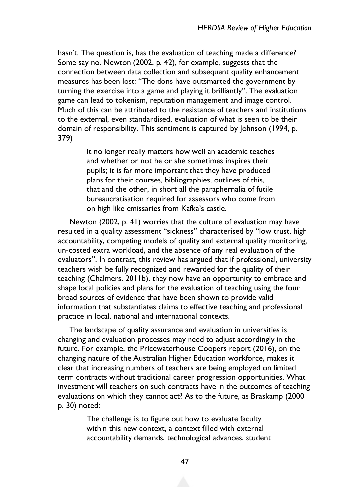hasn't. The question is, has the evaluation of teaching made a difference? Some say no. Newton (2002, p. 42), for example, suggests that the connection between data collection and subsequent quality enhancement measures has been lost: "The dons have outsmarted the government by turning the exercise into a game and playing it brilliantly". The evaluation game can lead to tokenism, reputation management and image control. Much of this can be attributed to the resistance of teachers and institutions to the external, even standardised, evaluation of what is seen to be their domain of responsibility. This sentiment is captured by Johnson (1994, p. 379)

> It no longer really matters how well an academic teaches and whether or not he or she sometimes inspires their pupils; it is far more important that they have produced plans for their courses, bibliographies, outlines of this, that and the other, in short all the paraphernalia of futile bureaucratisation required for assessors who come from on high like emissaries from Kafka's castle.

Newton (2002, p. 41) worries that the culture of evaluation may have resulted in a quality assessment "sickness" characterised by "low trust, high accountability, competing models of quality and external quality monitoring, un-costed extra workload, and the absence of any real evaluation of the evaluators". In contrast, this review has argued that if professional, university teachers wish be fully recognized and rewarded for the quality of their teaching (Chalmers, 2011b), they now have an opportunity to embrace and shape local policies and plans for the evaluation of teaching using the four broad sources of evidence that have been shown to provide valid information that substantiates claims to effective teaching and professional practice in local, national and international contexts.

The landscape of quality assurance and evaluation in universities is changing and evaluation processes may need to adjust accordingly in the future. For example, the Pricewaterhouse Coopers report (2016), on the changing nature of the Australian Higher Education workforce, makes it clear that increasing numbers of teachers are being employed on limited term contracts without traditional career progression opportunities. What investment will teachers on such contracts have in the outcomes of teaching evaluations on which they cannot act? As to the future, as Braskamp (2000 p. 30) noted:

> The challenge is to figure out how to evaluate faculty within this new context, a context filled with external accountability demands, technological advances, student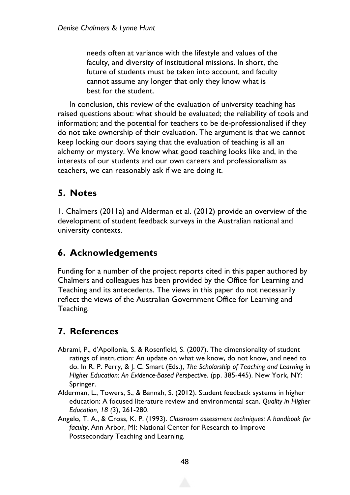needs often at variance with the lifestyle and values of the faculty, and diversity of institutional missions. In short, the future of students must be taken into account, and faculty cannot assume any longer that only they know what is best for the student.

In conclusion, this review of the evaluation of university teaching has raised questions about: what should be evaluated; the reliability of tools and information; and the potential for teachers to be de-professionalised if they do not take ownership of their evaluation. The argument is that we cannot keep locking our doors saying that the evaluation of teaching is all an alchemy or mystery. We know what good teaching looks like and, in the interests of our students and our own careers and professionalism as teachers, we can reasonably ask if we are doing it.

## **5. Notes**

1. Chalmers (2011a) and Alderman et al. (2012) provide an overview of the development of student feedback surveys in the Australian national and university contexts.

## **6. Acknowledgements**

Funding for a number of the project reports cited in this paper authored by Chalmers and colleagues has been provided by the Office for Learning and Teaching and its antecedents. The views in this paper do not necessarily reflect the views of the Australian Government Office for Learning and Teaching.

## **7. References**

- Abrami, P., d'Apollonia, S. & Rosenfield, S. (2007). The dimensionality of student ratings of instruction: An update on what we know, do not know, and need to do. In R. P. Perry, & J. C. Smart (Eds.), *The Scholarship of Teaching and Learning in Higher Education: An Evidence-Based Perspective*. (pp. 385-445). New York, NY: Springer.
- Alderman, L., Towers, S., & Bannah, S. (2012). Student feedback systems in higher education: A focused literature review and environmental scan. *Quality in Higher Education, 18 (*3), 261-280.
- Angelo, T. A., & Cross, K. P. (1993). *Classroom assessment techniques: A handbook for faculty*. Ann Arbor, MI: National Center for Research to Improve Postsecondary Teaching and Learning.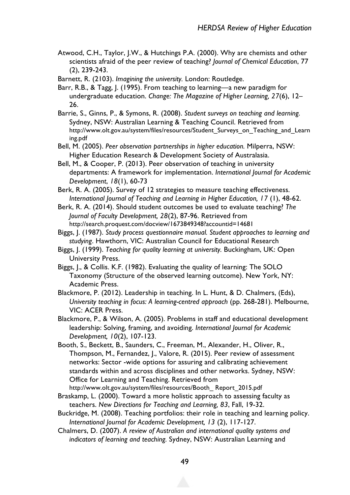- Atwood, C.H., Taylor, J.W., & Hutchings P.A. (2000). Why are chemists and other scientists afraid of the peer review of teaching? *Journal of Chemical Education*, 77 (2), 239-243.
- Barnett, R. (2103). *Imagining the university.* London: Routledge.
- Barr, R.B., & Tagg, J. (1995). From teaching to learning—a new paradigm for undergraduate education. *Change: The Magazine of Higher Learning, 27*(6), 12– 26.
- Barrie, S., Ginns, P., & Symons, R. (2008). *Student surveys on teaching and learning.* Sydney, NSW: Australian Learning & Teaching Council. Retrieved from http://www.olt.gov.au/system/files/resources/Student\_Surveys\_on\_Teaching\_and\_Learn ing.pdf
- Bell, M. (2005). *Peer observation partnerships in higher education.* Milperra, NSW: Higher Education Research & Development Society of Australasia.
- Bell, M., & Cooper, P. (2013). Peer observation of teaching in university departments: A framework for implementation. *International Journal for Academic Development*, *18*(1), 60-73
- Berk, R. A. (2005). Survey of 12 strategies to measure teaching effectiveness. *International Journal of Teaching and Learning in Higher Education, 17* (1), 48-62.
- Berk, R. A. (2014). Should student outcomes be used to evaluate teaching? *The Journal of Faculty Development, 28*(2), 87-96. Retrieved from http://search.proquest.com/docview/1673849348?accountid=14681
- Biggs, J. (1987). *Study process questionnaire manual. Student approaches to learning and studying*. Hawthorn, VIC: Australian Council for Educational Research
- Biggs, J. (1999). *Teaching for quality learning at university.* Buckingham, UK: Open University Press.
- Biggs, J., & Collis. K.F. (1982). Evaluating the quality of learning: The SOLO Taxonomy (Structure of the observed learning outcome). New York, NY: Academic Press.
- Blackmore, P. (2012). Leadership in teaching. In L. Hunt, & D. Chalmers, (Eds), *University teaching in focus: A learning-centred approach* (pp. 268-281). Melbourne, VIC: ACER Press.
- Blackmore, P., & Wilson, A. (2005). Problems in staff and educational development leadership: Solving, framing, and avoiding. *International Journal for Academic Development, 10*(2), 107-123.
- Booth, S., Beckett, B., Saunders, C., Freeman, M., Alexander, H., Oliver, R., Thompson, M., Fernandez, J., Valore, R. (2015). Peer review of assessment networks: Sector -wide options for assuring and calibrating achievement standards within and across disciplines and other networks. Sydney, NSW: Office for Learning and Teaching. Retrieved from http://www.olt.gov.au/system/files/resources/Booth\_ Report\_2015.pdf
- Braskamp, L. (2000). Toward a more holistic approach to assessing faculty as teachers. *New Directions for Teaching and Learning, 83*, Fall, 19-32.
- Buckridge, M. (2008). Teaching portfolios: their role in teaching and learning policy. *International Journal for Academic Development, 13* (2), 117-127.
- Chalmers, D. (2007). *A review of Australian and international quality systems and indicators of learning and teaching.* Sydney, NSW: Australian Learning and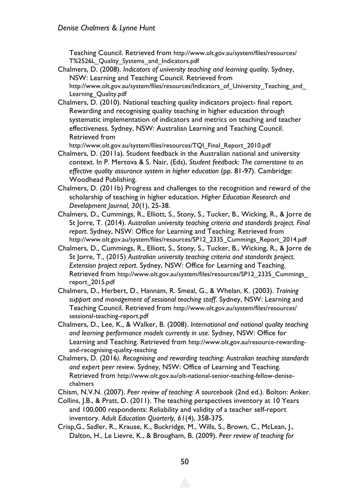Teaching Council. Retrieved from http://www.olt.gov.au/system/files/resources/ T%2526L\_Quality\_Systems\_and\_Indicators.pdf

- Chalmers, D. (2008). *Indicators of university teaching and learning quality.* Sydney, NSW: Learning and Teaching Council. Retrieved from http://www.olt.gov.au/system/files/resources/Indicators\_of\_University\_Teaching\_and\_ Learning\_Quality.pdf
- Chalmers, D. (2010). National teaching quality indicators project- final report. Rewarding and recognising quality teaching in higher education through systematic implementation of indicators and metrics on teaching and teacher effectiveness. Sydney, NSW: Australian Learning and Teaching Council. Retrieved from

http://www.olt.gov.au/system/files/resources/TQI\_Final\_Report\_2010.pdf

- Chalmers, D. (2011a). Student feedback in the Australian national and university context. In P. Mertova & S. Nair, (Eds), *Student feedback: The cornerstone to an effective quality assurance system in higher education* (pp. 81-97). Cambridge: Woodhead Publishing.
- Chalmers, D. (2011b) Progress and challenges to the recognition and reward of the scholarship of teaching in higher education. *Higher Education Research and Development Journal, 30*(1), 25-38.
- Chalmers, D., Cummings, R., Elliott, S., Stony, S., Tucker, B., Wicking, R., & Jorre de St Jorre, T. (2014). *Australian university teaching criteria and standards project. Final report*. Sydney, NSW: Office for Learning and Teaching. Retrieved from http://www.olt.gov.au/system/files/resources/SP12\_2335\_Cummings\_Report\_2014.pdf
- Chalmers, D., Cummings, R., Elliott, S., Stony, S., Tucker, B., Wicking, R., & Jorre de St Jorre, T., (2015) *Australian university teaching criteria and standards project. Extension project report*. Sydney, NSW: Office for Learning and Teaching. Retrieved from http://www.olt.gov.au/system/files/resources/SP12\_2335\_Cummings\_ report\_2015.pdf
- Chalmers, D., Herbert, D., Hannam, R. Smeal, G., & Whelan, K. (2003). *Training support and management of sessional teaching staff*. Sydney, NSW: Learning and Teaching Council. Retrieved from http://www.olt.gov.au/system/files/resources/ sessional-teaching-report.pdf
- Chalmers, D., Lee, K., & Walker, B. (2008). *International and national quality teaching and learning performance models currently in use*. Sydney, NSW: Office for Learning and Teaching. Retrieved from http://www.olt.gov.au/resource-rewardingand-recognising-quality-teaching
- Chalmers, D. (2016*). Recognising and rewarding teaching: Australian teaching standards and expert peer review.* Sydney, NSW: Office of Learning and Teaching. Retrieved from http://www.olt.gov.au/olt-national-senior-teaching-fellow-denisechalmers
- Chism, N.V.N. (2007). *Peer review of teaching: A sourcebook* (2nd ed.). Bolton: Anker.
- Collins, J.B., & Pratt, D. (2011). The teaching perspectives inventory at 10 Years and 100,000 respondents: Reliability and validity of a teacher self-report inventory. *Adult Education Quarterly, 61*(4), 358-375.
- Crisp,G., Sadler, R., Krause, K., Buckridge, M., Wills, S., Brown, C., McLean, J., Dalton, H., Le Lievre, K., & Brougham, B. (2009). *Peer review of teaching for*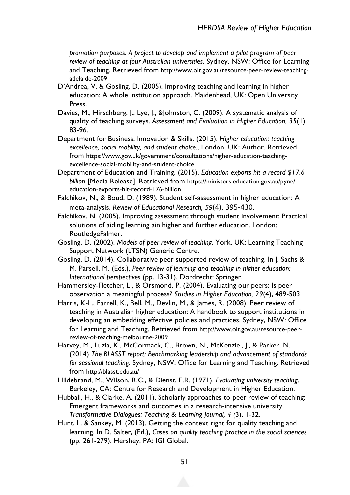*promotion purposes: A project to develop and implement a pilot program of peer review of teaching at four Australian universities*. Sydney, NSW: Office for Learning and Teaching. Retrieved from http://www.olt.gov.au/resource-peer-review-teachingadelaide-2009

- D'Andrea, V. & Gosling, D. (2005). Improving teaching and learning in higher education: A whole institution approach. Maidenhead, UK: Open University Press.
- Davies, M., Hirschberg, J., Lye, J., &Johnston, C. (2009). A systematic analysis of quality of teaching surveys. *Assessment and Evaluation in Higher Education, 35*(1), 83-96.
- Department for Business, Innovation & Skills. (2015). *Higher education: teaching excellence, social mobility, and student choice.*, London, UK: Author. Retrieved from https://www.gov.uk/government/consultations/higher-education-teachingexcellence-social-mobility-and-student-choice
- Department of Education and Training. (2015). *Education exports hit a record \$17.6 billion* [Media Release]. Retrieved from https://ministers.education.gov.au/pyne/ education-exports-hit-record-176-billion
- Falchikov, N., & Boud, D. (1989). Student self-assessment in higher education: A meta-analysis. *Review of Educational Research, 59*(4), 395-430.
- Falchikov. N. (2005). Improving assessment through student involvement: Practical solutions of aiding learning ain higher and further education. London: RoutledgeFalmer.
- Gosling, D. (2002). *Models of peer review of teaching*. York, UK: Learning Teaching Support Network (LTSN) Generic Centre.
- Gosling, D. (2014). Collaborative peer supported review of teaching. In J. Sachs & M. Parsell, M. (Eds.), *Peer review of learning and teaching in higher education: International perspectives* (pp. 13-31). Dordrecht: Springer.

Hammersley-Fletcher, L., & Orsmond, P. (2004). Evaluating our peers: Is peer observation a meaningful process? *Studies in Higher Education, 29*(4), 489-503.

- Harris, K-L., Farrell, K., Bell, M., Devlin, M., & James, R. (2008). Peer review of teaching in Australian higher education: A handbook to support institutions in developing an embedding effective policies and practices. Sydney, NSW: Office for Learning and Teaching. Retrieved from http://www.olt.gov.au/resource-peerreview-of-teaching-melbourne-2009
- Harvey, M., Luzia, K., McCormack, C., Brown, N., McKenzie., J., & Parker, N. (2014) *The BLASST report: Benchmarking leadership and advancement of standards for sessional teaching*. Sydney, NSW: Office for Learning and Teaching. Retrieved from http://blasst.edu.au/
- Hildebrand, M., Wilson, R.C., & Dienst, E.R. (1971). *Evaluating university teaching*. Berkeley, CA: Centre for Research and Development in Higher Education.
- Hubball, H., & Clarke, A. (2011). Scholarly approaches to peer review of teaching: Emergent frameworks and outcomes in a research-intensive university. *Transformative Dialogues: Teaching & Learning Journal, 4 (*3), 1-32*.*
- Hunt, L. & Sankey, M. (2013). Getting the context right for quality teaching and learning. In D. Salter, (Ed.), *Cases on quality teaching practice in the social sciences* (pp. 261-279). Hershey. PA: IGI Global.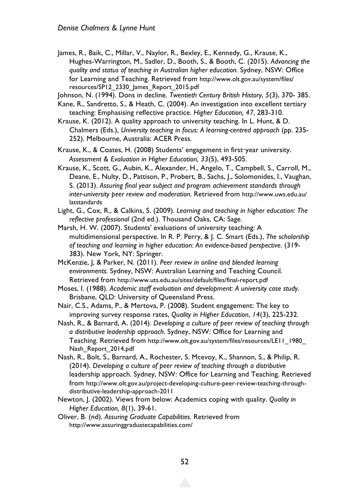James, R., Baik, C., Millar, V., Naylor, R., Bexley, E., Kennedy, G., Krause, K., Hughes-Warrington, M., Sadler, D., Booth, S., & Booth, C. (2015). *Advancing the quality and status of teaching in Australian higher education.* Sydney, NSW: Office for Learning and Teaching. Retrieved from http://www.olt.gov.au/system/files/ resources/SP12\_2330\_James\_Report\_2015.pdf

Johnson, N. (1994). Dons in decline. *Twentieth Century British History*, *5*(3), 370- 385.

- Kane, R., Sandretto, S., & Heath, C. (2004). An investigation into excellent tertiary teaching: Emphasising reflective practice. *Higher Education, 47*, 283-310.
- Krause, K. (2012). A quality approach to university teaching. In L. Hunt, & D. Chalmers (Eds.), *University teaching in focus: A learning-centred approach* (pp. 235- 252). Melbourne, Australia: ACER Press.

Krause, K., & Coates, H. (2008) Students' engagement in first-year university. *Assessment & Evaluation in Higher Education, 33*(5), 493-505.

- Krause, K., Scott, G., Aubin, K., Alexander, H., Angelo, T., Campbell, S., Carroll, M., Deane, E., Nulty, D., Pattison, P., Probert, B., Sachs, J., Solomonides, I., Vaughan, S. (2013). *Assuring final year subject and program achievement standards through inter-university peer review and moderation.* Retrieved from http://www.uws.edu.au/ latstandards
- Light, G., Cox, R., & Calkins, S. (2009). *Learning and teaching in higher education: The reflective professional* (2nd ed.). Thousand Oaks, CA: Sage.
- Marsh, H. W. (2007). Students' evaluations of university teaching: A multidimensional perspective. In R. P. Perry, & J. C. Smart (Eds.), *The scholarship of teaching and learning in higher education: An evidence-based perspective*. (319- 383). New York, NY: Springer.
- McKenzie, J, & Parker, N. (2011). *Peer review in online and blended learning environments.* Sydney, NSW: Australian Learning and Teaching Council. Retrieved from http://www.uts.edu.au/sites/default/files/final-report.pdf
- Moses, I. (1988). *Academic staff evaluation and development: A university case study*. Brisbane, QLD: University of Queensland Press.
- Nair, C.S., Adams, P., & Mertova, P. (2008). Student engagement: The key to improving survey response rates, *Quality in Higher Education*, *14*(3), 225-232.
- Nash, R., & Barnard, A. (2014). *Developing a culture of peer review of teaching through a distributive leadership approach.* Sydney, NSW: Office for Learning and Teaching. Retrieved from http://www.olt.gov.au/system/files/resources/LE11\_1980\_ Nash\_Report\_2014.pdf
- Nash, R., Bolt, S., Barnard, A., Rochester, S. Mcevoy, K., Shannon, S., & Philip, R. (2014). *Developing a culture of peer review of teaching through a distributive*  leadership approach. Sydney, NSW: Office for Learning and Teaching. Retrieved from http://www.olt.gov.au/project-developing-culture-peer-review-teaching-throughdistributive-leadership-approach-2011
- Newton, J. (2002). Views from below: Academics coping with quality. *Quality in Higher Education, 8*(1), 39-61.
- Oliver, B. (nd). *Assuring Graduate Capabilities.* Retrieved from http://www.assuringgraduatecapabilities.com/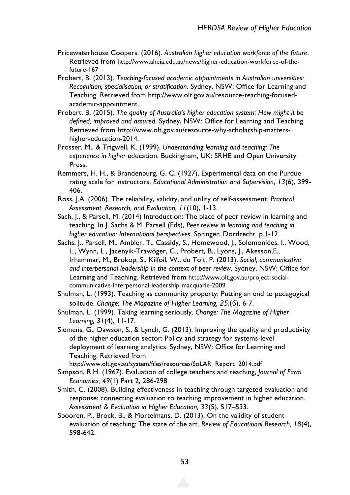- Pricewaterhouse Coopers. (2016). *Australian higher education workforce of the future*. Retrieved from http://www.aheia.edu.au/news/higher-education-workforce-of-thefuture-167
- Probert, B. (2013). *Teaching-focused academic appointments in Australian universities: Recognition, specialisation, or stratification*. Sydney, NSW: Office for Learning and Teaching. Retrieved from http://www.olt.gov.au/resource-teaching-focusedacademic-appointment.
- Probert. B. (2015). *The quality of Australia's higher education system: How might it be defined, improved and assured*. Sydney, NSW: Office for Learning and Teaching. Retrieved from http://www.olt.gov.au/resource-why-scholarship-mattershigher-education-2014.
- Prosser, M., & Trigwell, K. (1999). *Understanding learning and teaching: The experience in higher* education. Buckingham, UK: SRHE and Open University Press.
- Remmers, H. H., & Brandenburg, G. C. (1927). Experimental data on the Purdue rating scale for instructors. *Educational Administration and Supervision*, *13*(6), 399- 406.
- Ross, J.A. (2006). The reliability, validity, and utility of self-assessment. *Practical Assessment, Research, and Evaluation, 11*(10), 1-13.
- Sach, J., & Parsell, M. (2014) Introduction: The place of peer review in learning and teaching. In J. Sachs & M. Parsell (Eds), *Peer review in learning and teaching in higher education: International perspectives*. Springer, Dordrecht. p.1-12.
- Sachs, J., Parsell, M., Ambler, T., Cassidy, S., Homewood, J., Solomonides, I., Wood, L., Wynn, L., Jacenyik-Trawöger, C., Probert, B., Lyons, J., Akesson,E., Irhammar, M., Brokop, S., Kilfoil, W., du Toit, P. (2013). *Social, communicative and interpersonal leadership in the context of peer review.* Sydney, NSW: Office for Learning and Teaching. Retrieved from http://www.olt.gov.au/project-socialcommunicative-interpersonal-leadership-macquarie-2009
- Shulman, L. (1993). Teaching as community property: Putting an end to pedagogical solitude. *Change: The Magazine of Higher Learning, 25*,(6), 6-7.
- Shulman, L. (1999). Taking learning seriously. *Change: The Magazine of Higher Learning, 31*(4), 11-17.
- Siemens, G., Dawson, S., & Lynch, G. (2013). Improving the quality and productivity of the higher education sector: Policy and strategy for systems-level deployment of learning analytics. Sydney, NSW: Office for Learning and Teaching. Retrieved from

http://www.olt.gov.au/system/files/resources/SoLAR\_Report\_2014.pdf

- Simpson, R.H. (1967). Evaluation of college teachers and teaching, *Journal of Farm Economics, 49*(1) Part 2, 286-298.
- Smith, C. (2008). Building effectiveness in teaching through targeted evaluation and response: connecting evaluation to teaching improvement in higher education. *Assessment & Evaluation in Higher Education, 33*(5), 517–533.
- Spooren, P., Brock, B., & Mortelmans, D. (2013). On the validity of student evaluation of teaching: The state of the art. *Review of Educational Research, 18*(4), 598-642.